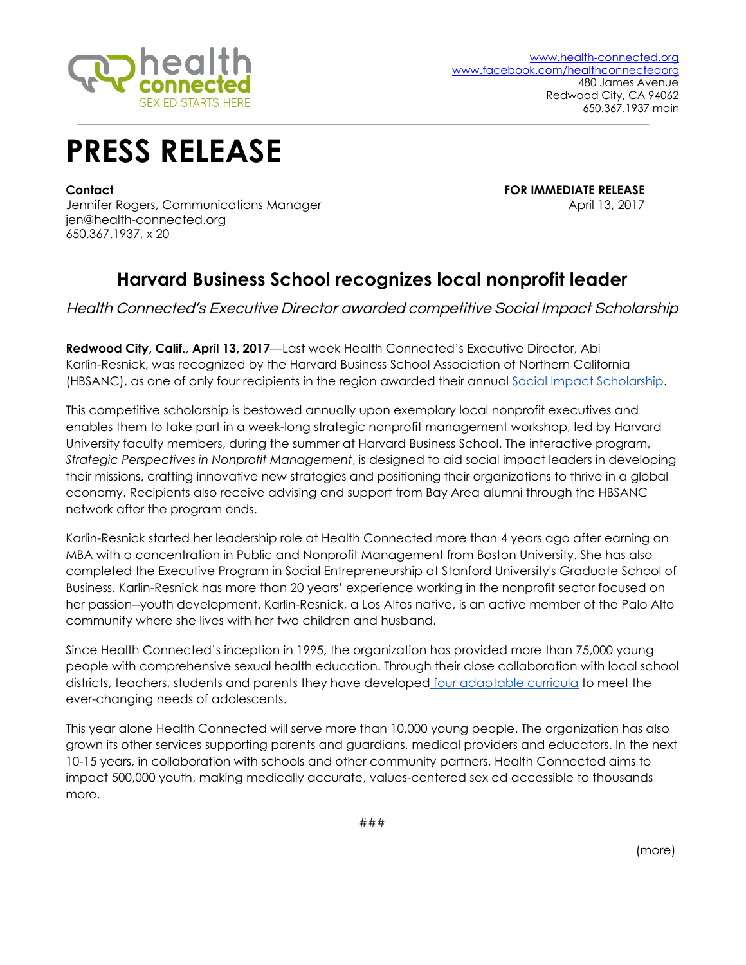

## **PRESS RELEASE**

**Contact FOR IMMEDIATE RELEASE**

Jennifer Rogers, Communications Manager April 13, 2017 jen@health-connected.org 650.367.1937, x 20

## **Harvard Business School recognizes local nonprofit leader**

Health Connected's Executive Director awarded competitive Social Impact Scholarship

**Redwood City, Calif**., **April 13, 2017**—Last week Health Connected's Executive Director, Abi Karlin-Resnick, was recognized by the Harvard Business School Association of Northern California (HBSANC), as one of only four recipients in the region awarded their annual Social Impact [Scholarship.](http://hbscp.org/scholarships-2/)

This competitive scholarship is bestowed annually upon exemplary local nonprofit executives and enables them to take part in a week-long strategic nonprofit management workshop, led by Harvard University faculty members, during the summer at Harvard Business School. The interactive program, *Strategic Perspectives in Nonprofit Management*, is designed to aid social impact leaders in developing their missions, crafting innovative new strategies and positioning their organizations to thrive in a global economy. Recipients also receive advising and support from Bay Area alumni through the HBSANC network after the program ends.

Karlin-Resnick started her leadership role at Health Connected more than 4 years ago after earning an MBA with a concentration in Public and Nonprofit Management from Boston University. She has also completed the Executive Program in Social Entrepreneurship at Stanford University's Graduate School of Business. Karlin-Resnick has more than 20 years' experience working in the nonprofit sector focused on her passion--youth development. Karlin-Resnick, a Los Altos native, is an active member of the Palo Alto community where she lives with her two children and husband.

Since Health Connected's inception in 1995, the organization has provided more than 75,000 young people with comprehensive sexual health education. Through their close collaboration with local school districts, teachers, students and parents they have developed four [adaptable](http://www.health-connected.org/curriculum) curricula to meet the ever-changing needs of adolescents.

This year alone Health Connected will serve more than 10,000 young people. The organization has also grown its other services supporting parents and guardians, medical providers and educators. In the next 10-15 years, in collaboration with schools and other community partners, Health Connected aims to impact 500,000 youth, making medically accurate, values-centered sex ed accessible to thousands more.